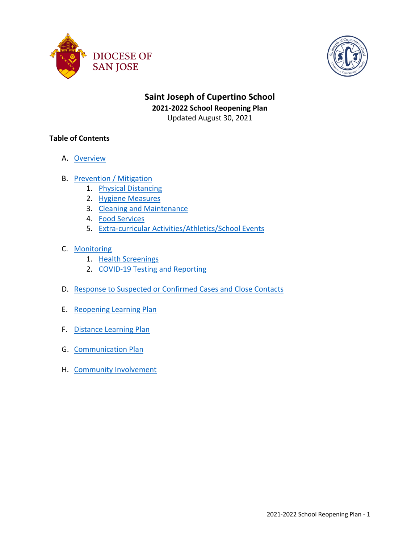



# **Saint Joseph of Cupertino School 2021-2022 School Reopening Plan** Updated August 30, 2021

# **Table of Contents**

- A. Overview
- B. Prevention / Mitigation
	- 1. Physical Distancing
	- 2. Hygiene Measures
	- 3. Cleaning and Maintenance
	- 4. Food Services
	- 5. Extra-curricular Activities/Athletics/School Events
- C. Monitoring
	- 1. Health Screenings
	- 2. COVID-19 Testing and Reporting
- D. Response to Suspected or Confirmed Cases and Close Contacts
- E. Reopening Learning Plan
- F. Distance Learning Plan
- G. Communication Plan
- H. Community Involvement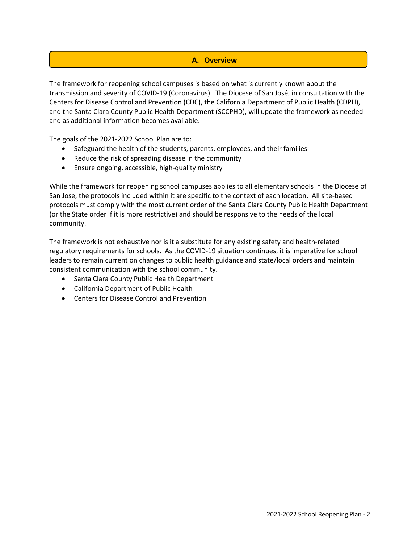# **A. Overview**

The framework for reopening school campuses is based on what is currently known about the transmission and severity of COVID-19 (Coronavirus). The Diocese of San José, in consultation with the Centers for Disease Control and Prevention (CDC), the California Department of Public Health (CDPH), and the Santa Clara County Public Health Department (SCCPHD), will update the framework as needed and as additional information becomes available.

The goals of the 2021-2022 School Plan are to:

- Safeguard the health of the students, parents, employees, and their families
- Reduce the risk of spreading disease in the community
- Ensure ongoing, accessible, high-quality ministry

While the framework for reopening school campuses applies to all elementary schools in the Diocese of San Jose, the protocols included within it are specific to the context of each location. All site-based protocols must comply with the most current order of the Santa Clara County Public Health Department (or the State order if it is more restrictive) and should be responsive to the needs of the local community.

The framework is not exhaustive nor is it a substitute for any existing safety and health-related regulatory requirements for schools. As the COVID-19 situation continues, it is imperative for school leaders to remain current on changes to public health guidance and state/local orders and maintain consistent communication with the school community.

- Santa Clara County Public Health Department
- California Department of Public Health
- Centers for Disease Control and Prevention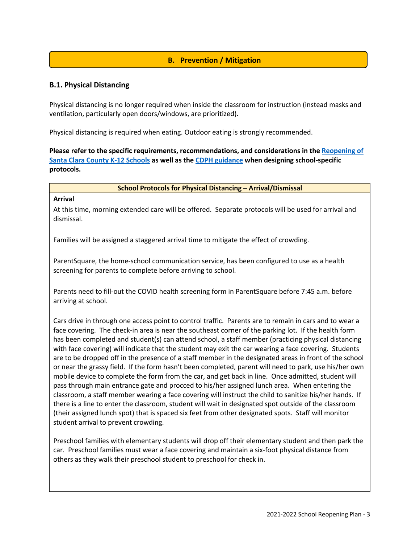# **B. Prevention / Mitigation**

# **B.1. Physical Distancing**

Physical distancing is no longer required when inside the classroom for instruction (instead masks and ventilation, particularly open doors/windows, are prioritized).

Physical distancing is required when eating. Outdoor eating is strongly recommended.

**Please refer to the specific requirements, recommendations, and considerations in the Reopening of Santa Clara County K-12 Schools as well as the CDPH guidance when designing school-specific protocols.**

#### **School Protocols for Physical Distancing – Arrival/Dismissal**

#### **Arrival**

At this time, morning extended care will be offered. Separate protocols will be used for arrival and dismissal.

Families will be assigned a staggered arrival time to mitigate the effect of crowding.

ParentSquare, the home-school communication service, has been configured to use as a health screening for parents to complete before arriving to school.

Parents need to fill-out the COVID health screening form in ParentSquare before 7:45 a.m. before arriving at school.

Cars drive in through one access point to control traffic. Parents are to remain in cars and to wear a face covering. The check-in area is near the southeast corner of the parking lot. If the health form has been completed and student(s) can attend school, a staff member (practicing physical distancing with face covering) will indicate that the student may exit the car wearing a face covering. Students are to be dropped off in the presence of a staff member in the designated areas in front of the school or near the grassy field. If the form hasn't been completed, parent will need to park, use his/her own mobile device to complete the form from the car, and get back in line. Once admitted, student will pass through main entrance gate and procced to his/her assigned lunch area. When entering the classroom, a staff member wearing a face covering will instruct the child to sanitize his/her hands. If there is a line to enter the classroom, student will wait in designated spot outside of the classroom (their assigned lunch spot) that is spaced six feet from other designated spots. Staff will monitor student arrival to prevent crowding.

Preschool families with elementary students will drop off their elementary student and then park the car. Preschool families must wear a face covering and maintain a six-foot physical distance from others as they walk their preschool student to preschool for check in.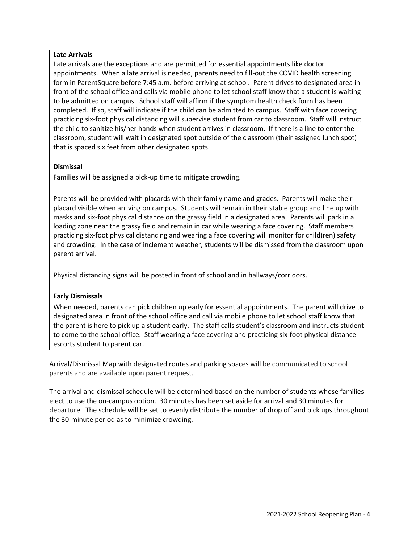## **Late Arrivals**

Late arrivals are the exceptions and are permitted for essential appointments like doctor appointments. When a late arrival is needed, parents need to fill-out the COVID health screening form in ParentSquare before 7:45 a.m. before arriving at school. Parent drives to designated area in front of the school office and calls via mobile phone to let school staff know that a student is waiting to be admitted on campus. School staff will affirm if the symptom health check form has been completed. If so, staff will indicate if the child can be admitted to campus. Staff with face covering practicing six-foot physical distancing will supervise student from car to classroom. Staff will instruct the child to sanitize his/her hands when student arrives in classroom. If there is a line to enter the classroom, student will wait in designated spot outside of the classroom (their assigned lunch spot) that is spaced six feet from other designated spots.

## **Dismissal**

Families will be assigned a pick-up time to mitigate crowding.

Parents will be provided with placards with their family name and grades. Parents will make their placard visible when arriving on campus. Students will remain in their stable group and line up with masks and six-foot physical distance on the grassy field in a designated area. Parents will park in a loading zone near the grassy field and remain in car while wearing a face covering. Staff members practicing six-foot physical distancing and wearing a face covering will monitor for child(ren) safety and crowding. In the case of inclement weather, students will be dismissed from the classroom upon parent arrival.

Physical distancing signs will be posted in front of school and in hallways/corridors.

## **Early Dismissals**

When needed, parents can pick children up early for essential appointments. The parent will drive to designated area in front of the school office and call via mobile phone to let school staff know that the parent is here to pick up a student early. The staff calls student's classroom and instructs student to come to the school office. Staff wearing a face covering and practicing six-foot physical distance escorts student to parent car.

Arrival/Dismissal Map with designated routes and parking spaces will be communicated to school parents and are available upon parent request.

The arrival and dismissal schedule will be determined based on the number of students whose families elect to use the on-campus option. 30 minutes has been set aside for arrival and 30 minutes for departure. The schedule will be set to evenly distribute the number of drop off and pick ups throughout the 30-minute period as to minimize crowding.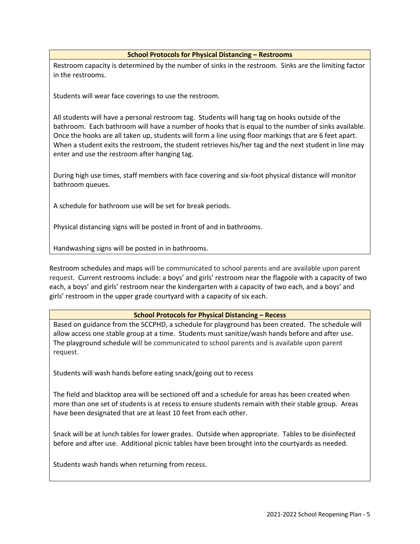#### **School Protocols for Physical Distancing – Restrooms**

Restroom capacity is determined by the number of sinks in the restroom. Sinks are the limiting factor in the restrooms.

Students will wear face coverings to use the restroom.

All students will have a personal restroom tag. Students will hang tag on hooks outside of the bathroom. Each bathroom will have a number of hooks that is equal to the number of sinks available. Once the hooks are all taken up, students will form a line using floor markings that are 6 feet apart. When a student exits the restroom, the student retrieves his/her tag and the next student in line may enter and use the restroom after hanging tag.

During high use times, staff members with face covering and six-foot physical distance will monitor bathroom queues.

A schedule for bathroom use will be set for break periods.

Physical distancing signs will be posted in front of and in bathrooms.

Handwashing signs will be posted in in bathrooms.

Restroom schedules and maps will be communicated to school parents and are available upon parent request. Current restrooms include: a boys' and girls' restroom near the flagpole with a capacity of two each, a boys' and girls' restroom near the kindergarten with a capacity of two each, and a boys' and girls' restroom in the upper grade courtyard with a capacity of six each.

#### **School Protocols for Physical Distancing – Recess**

Based on guidance from the SCCPHD, a schedule for playground has been created. The schedule will allow access one stable group at a time. Students must sanitize/wash hands before and after use. The playground schedule will be communicated to school parents and is available upon parent request.

Students will wash hands before eating snack/going out to recess

The field and blacktop area will be sectioned off and a schedule for areas has been created when more than one set of students is at recess to ensure students remain with their stable group. Areas have been designated that are at least 10 feet from each other.

Snack will be at lunch tables for lower grades. Outside when appropriate. Tables to be disinfected before and after use. Additional picnic tables have been brought into the courtyards as needed.

Students wash hands when returning from recess.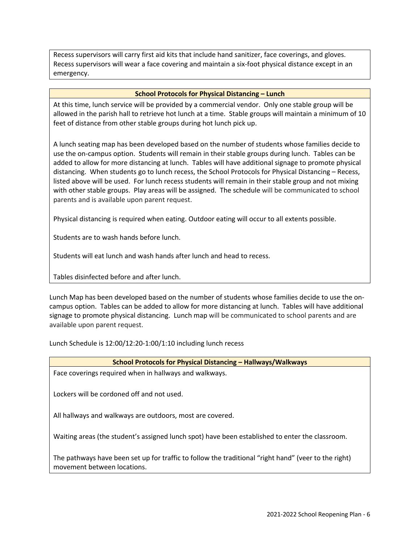Recess supervisors will carry first aid kits that include hand sanitizer, face coverings, and gloves. Recess supervisors will wear a face covering and maintain a six-foot physical distance except in an emergency.

#### **School Protocols for Physical Distancing – Lunch**

At this time, lunch service will be provided by a commercial vendor. Only one stable group will be allowed in the parish hall to retrieve hot lunch at a time. Stable groups will maintain a minimum of 10 feet of distance from other stable groups during hot lunch pick up.

A lunch seating map has been developed based on the number of students whose families decide to use the on-campus option. Students will remain in their stable groups during lunch. Tables can be added to allow for more distancing at lunch. Tables will have additional signage to promote physical distancing. When students go to lunch recess, the School Protocols for Physical Distancing – Recess, listed above will be used. For lunch recess students will remain in their stable group and not mixing with other stable groups. Play areas will be assigned. The schedule will be communicated to school parents and is available upon parent request.

Physical distancing is required when eating. Outdoor eating will occur to all extents possible.

Students are to wash hands before lunch.

Students will eat lunch and wash hands after lunch and head to recess.

Tables disinfected before and after lunch.

Lunch Map has been developed based on the number of students whose families decide to use the oncampus option. Tables can be added to allow for more distancing at lunch. Tables will have additional signage to promote physical distancing. Lunch map will be communicated to school parents and are available upon parent request.

Lunch Schedule is 12:00/12:20-1:00/1:10 including lunch recess

| <b>School Protocols for Physical Distancing - Hallways/Walkways</b> |  |
|---------------------------------------------------------------------|--|
|---------------------------------------------------------------------|--|

Face coverings required when in hallways and walkways.

Lockers will be cordoned off and not used.

All hallways and walkways are outdoors, most are covered.

Waiting areas (the student's assigned lunch spot) have been established to enter the classroom.

The pathways have been set up for traffic to follow the traditional "right hand" (veer to the right) movement between locations.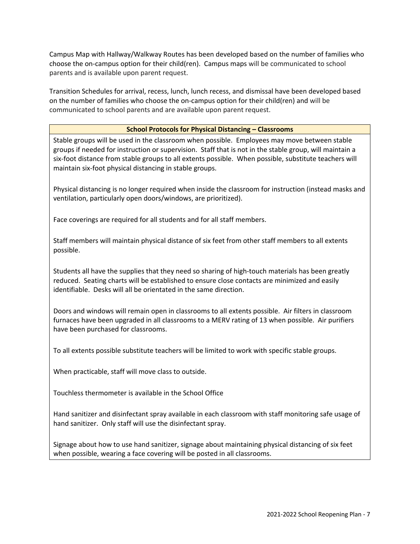Campus Map with Hallway/Walkway Routes has been developed based on the number of families who choose the on-campus option for their child(ren). Campus maps will be communicated to school parents and is available upon parent request.

Transition Schedules for arrival, recess, lunch, lunch recess, and dismissal have been developed based on the number of families who choose the on-campus option for their child(ren) and will be communicated to school parents and are available upon parent request.

## **School Protocols for Physical Distancing – Classrooms**

Stable groups will be used in the classroom when possible. Employees may move between stable groups if needed for instruction or supervision. Staff that is not in the stable group, will maintain a six-foot distance from stable groups to all extents possible. When possible, substitute teachers will maintain six-foot physical distancing in stable groups.

Physical distancing is no longer required when inside the classroom for instruction (instead masks and ventilation, particularly open doors/windows, are prioritized).

Face coverings are required for all students and for all staff members.

Staff members will maintain physical distance of six feet from other staff members to all extents possible.

Students all have the supplies that they need so sharing of high-touch materials has been greatly reduced. Seating charts will be established to ensure close contacts are minimized and easily identifiable. Desks will all be orientated in the same direction.

Doors and windows will remain open in classrooms to all extents possible. Air filters in classroom furnaces have been upgraded in all classrooms to a MERV rating of 13 when possible. Air purifiers have been purchased for classrooms.

To all extents possible substitute teachers will be limited to work with specific stable groups.

When practicable, staff will move class to outside.

Touchless thermometer is available in the School Office

Hand sanitizer and disinfectant spray available in each classroom with staff monitoring safe usage of hand sanitizer. Only staff will use the disinfectant spray.

Signage about how to use hand sanitizer, signage about maintaining physical distancing of six feet when possible, wearing a face covering will be posted in all classrooms.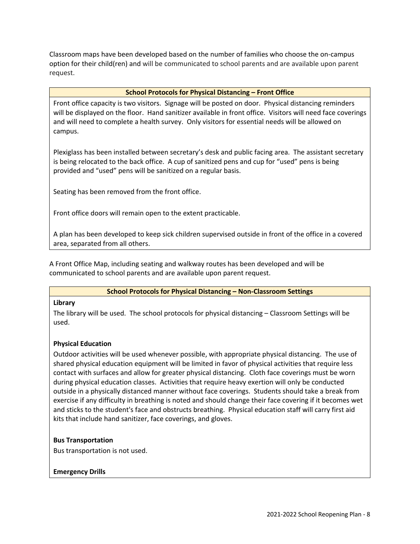Classroom maps have been developed based on the number of families who choose the on-campus option for their child(ren) and will be communicated to school parents and are available upon parent request.

### **School Protocols for Physical Distancing – Front Office**

Front office capacity is two visitors. Signage will be posted on door. Physical distancing reminders will be displayed on the floor. Hand sanitizer available in front office. Visitors will need face coverings and will need to complete a health survey. Only visitors for essential needs will be allowed on campus.

Plexiglass has been installed between secretary's desk and public facing area. The assistant secretary is being relocated to the back office. A cup of sanitized pens and cup for "used" pens is being provided and "used" pens will be sanitized on a regular basis.

Seating has been removed from the front office.

Front office doors will remain open to the extent practicable.

A plan has been developed to keep sick children supervised outside in front of the office in a covered area, separated from all others.

A Front Office Map, including seating and walkway routes has been developed and will be communicated to school parents and are available upon parent request.

## **School Protocols for Physical Distancing – Non-Classroom Settings**

#### **Library**

The library will be used. The school protocols for physical distancing – Classroom Settings will be used.

## **Physical Education**

Outdoor activities will be used whenever possible, with appropriate physical distancing. The use of shared physical education equipment will be limited in favor of physical activities that require less contact with surfaces and allow for greater physical distancing. Cloth face coverings must be worn during physical education classes. Activities that require heavy exertion will only be conducted outside in a physically distanced manner without face coverings. Students should take a break from exercise if any difficulty in breathing is noted and should change their face covering if it becomes wet and sticks to the student's face and obstructs breathing. Physical education staff will carry first aid kits that include hand sanitizer, face coverings, and gloves.

## **Bus Transportation**

Bus transportation is not used.

## **Emergency Drills**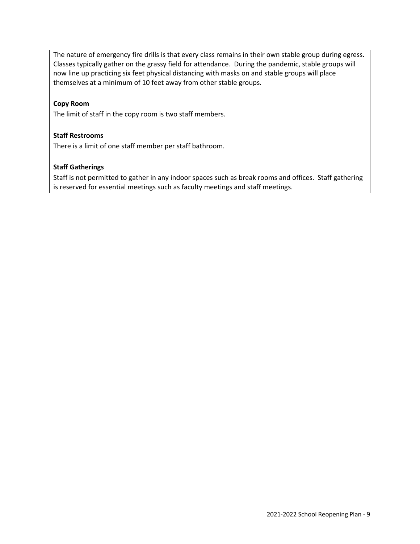The nature of emergency fire drills is that every class remains in their own stable group during egress. Classes typically gather on the grassy field for attendance. During the pandemic, stable groups will now line up practicing six feet physical distancing with masks on and stable groups will place themselves at a minimum of 10 feet away from other stable groups.

## **Copy Room**

The limit of staff in the copy room is two staff members.

## **Staff Restrooms**

There is a limit of one staff member per staff bathroom.

# **Staff Gatherings**

Staff is not permitted to gather in any indoor spaces such as break rooms and offices. Staff gathering is reserved for essential meetings such as faculty meetings and staff meetings.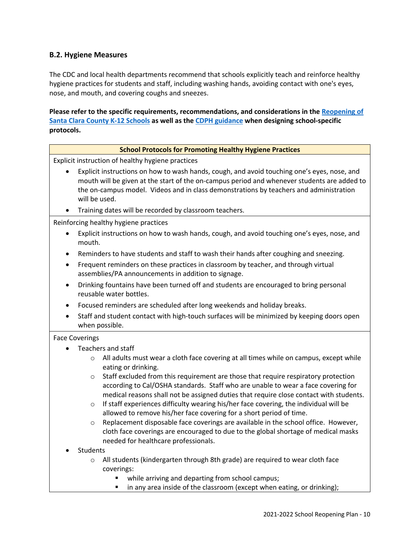# **B.2. Hygiene Measures**

The CDC and local health departments recommend that schools explicitly teach and reinforce healthy hygiene practices for students and staff, including washing hands, avoiding contact with one's eyes, nose, and mouth, and covering coughs and sneezes.

**Please refer to the specific requirements, recommendations, and considerations in the Reopening of Santa Clara County K-12 Schools as well as the CDPH guidance when designing school-specific protocols.**

| <b>School Protocols for Promoting Healthy Hygiene Practices</b>                                                                                                                                                                                                                                       |  |  |
|-------------------------------------------------------------------------------------------------------------------------------------------------------------------------------------------------------------------------------------------------------------------------------------------------------|--|--|
| Explicit instruction of healthy hygiene practices                                                                                                                                                                                                                                                     |  |  |
| Explicit instructions on how to wash hands, cough, and avoid touching one's eyes, nose, and<br>mouth will be given at the start of the on-campus period and whenever students are added to<br>the on-campus model. Videos and in class demonstrations by teachers and administration<br>will be used. |  |  |
| Training dates will be recorded by classroom teachers.                                                                                                                                                                                                                                                |  |  |
| Reinforcing healthy hygiene practices<br>Explicit instructions on how to wash hands, cough, and avoid touching one's eyes, nose, and<br>٠<br>mouth.                                                                                                                                                   |  |  |
| Reminders to have students and staff to wash their hands after coughing and sneezing.<br>٠<br>Frequent reminders on these practices in classroom by teacher, and through virtual<br>$\bullet$<br>assemblies/PA announcements in addition to signage.                                                  |  |  |
| Drinking fountains have been turned off and students are encouraged to bring personal<br>$\bullet$<br>reusable water bottles.                                                                                                                                                                         |  |  |
| Focused reminders are scheduled after long weekends and holiday breaks.<br>$\bullet$                                                                                                                                                                                                                  |  |  |
| Staff and student contact with high-touch surfaces will be minimized by keeping doors open<br>$\bullet$<br>when possible.                                                                                                                                                                             |  |  |
| <b>Face Coverings</b>                                                                                                                                                                                                                                                                                 |  |  |
| Teachers and staff                                                                                                                                                                                                                                                                                    |  |  |
| All adults must wear a cloth face covering at all times while on campus, except while<br>$\circ$<br>eating or drinking.                                                                                                                                                                               |  |  |
| Staff excluded from this requirement are those that require respiratory protection<br>$\circ$<br>according to Cal/OSHA standards. Staff who are unable to wear a face covering for<br>medical reasons shall not be assigned duties that require close contact with students.                          |  |  |
| If staff experiences difficulty wearing his/her face covering, the individual will be<br>$\circ$<br>allowed to remove his/her face covering for a short period of time.                                                                                                                               |  |  |
| Replacement disposable face coverings are available in the school office. However,<br>$\circ$<br>cloth face coverings are encouraged to due to the global shortage of medical masks<br>needed for healthcare professionals.                                                                           |  |  |
| <b>Students</b>                                                                                                                                                                                                                                                                                       |  |  |
| All students (kindergarten through 8th grade) are required to wear cloth face<br>$\circ$<br>coverings:                                                                                                                                                                                                |  |  |
| while arriving and departing from school campus;<br>٠                                                                                                                                                                                                                                                 |  |  |

■ in any area inside of the classroom (except when eating, or drinking);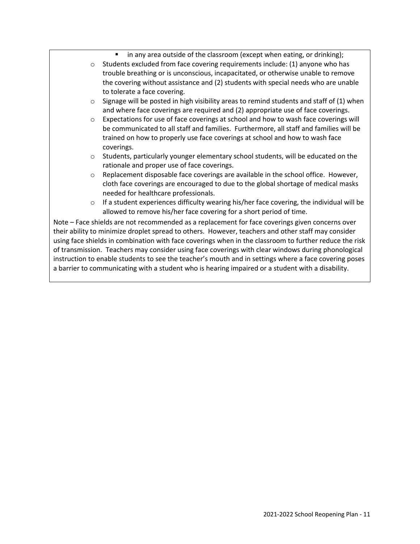in any area outside of the classroom (except when eating, or drinking);

- $\circ$  Students excluded from face covering requirements include: (1) anyone who has trouble breathing or is unconscious, incapacitated, or otherwise unable to remove the covering without assistance and (2) students with special needs who are unable to tolerate a face covering.
- $\circ$  Signage will be posted in high visibility areas to remind students and staff of (1) when and where face coverings are required and (2) appropriate use of face coverings.
- o Expectations for use of face coverings at school and how to wash face coverings will be communicated to all staff and families. Furthermore, all staff and families will be trained on how to properly use face coverings at school and how to wash face coverings.
- o Students, particularly younger elementary school students, will be educated on the rationale and proper use of face coverings.
- $\circ$  Replacement disposable face coverings are available in the school office. However, cloth face coverings are encouraged to due to the global shortage of medical masks needed for healthcare professionals.
- $\circ$  If a student experiences difficulty wearing his/her face covering, the individual will be allowed to remove his/her face covering for a short period of time.

Note – Face shields are not recommended as a replacement for face coverings given concerns over their ability to minimize droplet spread to others. However, teachers and other staff may consider using face shields in combination with face coverings when in the classroom to further reduce the risk of transmission. Teachers may consider using face coverings with clear windows during phonological instruction to enable students to see the teacher's mouth and in settings where a face covering poses a barrier to communicating with a student who is hearing impaired or a student with a disability.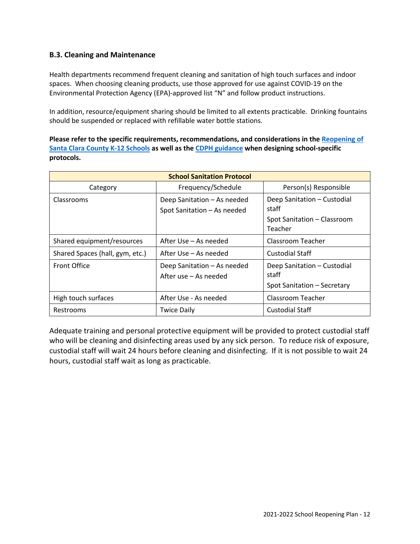# **B.3. Cleaning and Maintenance**

Health departments recommend frequent cleaning and sanitation of high touch surfaces and indoor spaces. When choosing cleaning products, use those approved for use against COVID-19 on the Environmental Protection Agency (EPA)-approved list "N" and follow product instructions.

In addition, resource/equipment sharing should be limited to all extents practicable. Drinking fountains should be suspended or replaced with refillable water bottle stations.

**Please refer to the specific requirements, recommendations, and considerations in the Reopening of Santa Clara County K-12 Schools as well as the CDPH guidance when designing school-specific protocols.**

| <b>School Sanitation Protocol</b> |                                                            |                                                                                |  |
|-----------------------------------|------------------------------------------------------------|--------------------------------------------------------------------------------|--|
| Category                          | Frequency/Schedule                                         | Person(s) Responsible                                                          |  |
| Classrooms                        | Deep Sanitation - As needed<br>Spot Sanitation - As needed | Deep Sanitation - Custodial<br>staff<br>Spot Sanitation - Classroom<br>Teacher |  |
| Shared equipment/resources        | After Use – As needed                                      | Classroom Teacher                                                              |  |
| Shared Spaces (hall, gym, etc.)   | After Use – As needed                                      | Custodial Staff                                                                |  |
| <b>Front Office</b>               | Deep Sanitation - As needed<br>After use – As needed       | Deep Sanitation - Custodial<br>staff<br>Spot Sanitation - Secretary            |  |
| High touch surfaces               | After Use - As needed                                      | Classroom Teacher                                                              |  |
| Restrooms                         | <b>Twice Daily</b>                                         | Custodial Staff                                                                |  |

Adequate training and personal protective equipment will be provided to protect custodial staff who will be cleaning and disinfecting areas used by any sick person. To reduce risk of exposure, custodial staff will wait 24 hours before cleaning and disinfecting. If it is not possible to wait 24 hours, custodial staff wait as long as practicable.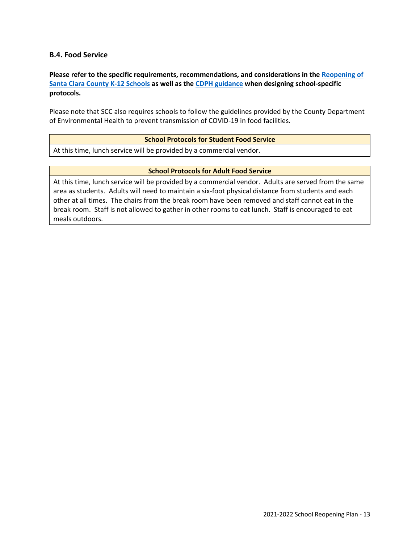# **B.4. Food Service**

**Please refer to the specific requirements, recommendations, and considerations in the Reopening of Santa Clara County K-12 Schools as well as the CDPH guidance when designing school-specific protocols.**

Please note that SCC also requires schools to follow the guidelines provided by the County Department of Environmental Health to prevent transmission of COVID-19 in food facilities.

#### **School Protocols for Student Food Service**

At this time, lunch service will be provided by a commercial vendor.

#### **School Protocols for Adult Food Service**

At this time, lunch service will be provided by a commercial vendor. Adults are served from the same area as students. Adults will need to maintain a six-foot physical distance from students and each other at all times. The chairs from the break room have been removed and staff cannot eat in the break room. Staff is not allowed to gather in other rooms to eat lunch. Staff is encouraged to eat meals outdoors.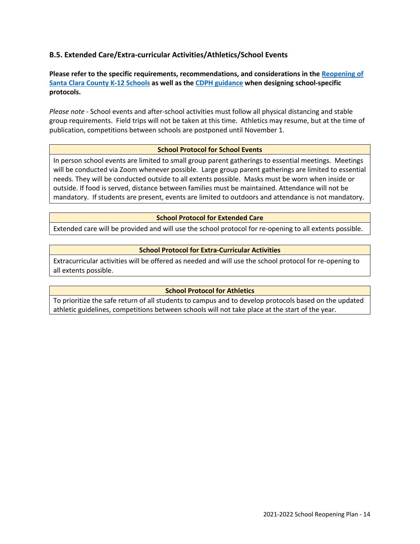# **B.5. Extended Care/Extra-curricular Activities/Athletics/School Events**

**Please refer to the specific requirements, recommendations, and considerations in the Reopening of Santa Clara County K-12 Schools as well as the CDPH guidance when designing school-specific protocols.**

*Please note* - School events and after-school activities must follow all physical distancing and stable group requirements. Field trips will not be taken at this time. Athletics may resume, but at the time of publication, competitions between schools are postponed until November 1.

#### **School Protocol for School Events**

In person school events are limited to small group parent gatherings to essential meetings. Meetings will be conducted via Zoom whenever possible. Large group parent gatherings are limited to essential needs. They will be conducted outside to all extents possible. Masks must be worn when inside or outside. If food is served, distance between families must be maintained. Attendance will not be mandatory. If students are present, events are limited to outdoors and attendance is not mandatory.

#### **School Protocol for Extended Care**

Extended care will be provided and will use the school protocol for re-opening to all extents possible.

#### **School Protocol for Extra-Curricular Activities**

Extracurricular activities will be offered as needed and will use the school protocol for re-opening to all extents possible.

## **School Protocol for Athletics**

To prioritize the safe return of all students to campus and to develop protocols based on the updated athletic guidelines, competitions between schools will not take place at the start of the year.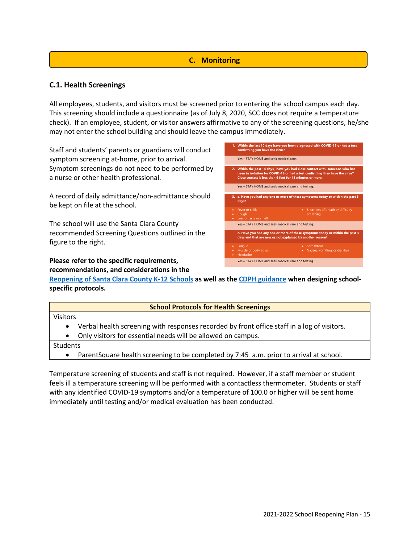# **C. Monitoring**

# **C.1. Health Screenings**

All employees, students, and visitors must be screened prior to entering the school campus each day. This screening should include a questionnaire (as of July 8, 2020, SCC does not require a temperature check). If an employee, student, or visitor answers affirmative to any of the screening questions, he/she may not enter the school building and should leave the campus immediately.

Staff and students' parents or guardians will conduct symptom screening at-home, prior to arrival. Symptom screenings do not need to be performed by a nurse or other health professional.

A record of daily admittance/non-admittance should be kept on file at the school.

The school will use the Santa Clara County recommended Screening Questions outlined in the figure to the right.

# **Please refer to the specific requirements, recommendations, and considerations in the**



**Reopening of Santa Clara County K-12 Schools as well as the CDPH guidance when designing schoolspecific protocols.**

# **School Protocols for Health Screenings**

Visitors

- Verbal health screening with responses recorded by front office staff in a log of visitors.
- Only visitors for essential needs will be allowed on campus.

Students

• ParentSquare health screening to be completed by 7:45 a.m. prior to arrival at school.

Temperature screening of students and staff is not required. However, if a staff member or student feels ill a temperature screening will be performed with a contactless thermometer. Students or staff with any identified COVID-19 symptoms and/or a temperature of 100.0 or higher will be sent home immediately until testing and/or medical evaluation has been conducted.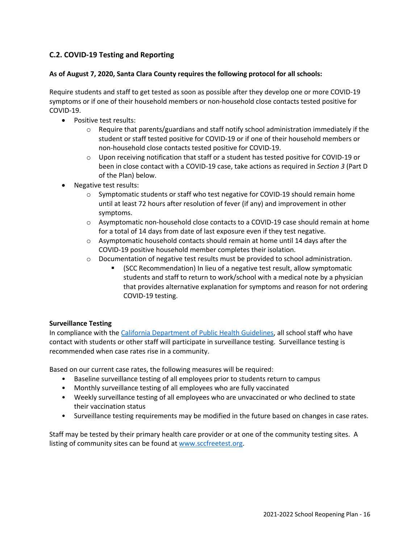# **C.2. COVID-19 Testing and Reporting**

# **As of August 7, 2020, Santa Clara County requires the following protocol for all schools:**

Require students and staff to get tested as soon as possible after they develop one or more COVID-19 symptoms or if one of their household members or non-household close contacts tested positive for COVID-19.

- Positive test results:
	- $\circ$  Require that parents/guardians and staff notify school administration immediately if the student or staff tested positive for COVID-19 or if one of their household members or non-household close contacts tested positive for COVID-19.
	- $\circ$  Upon receiving notification that staff or a student has tested positive for COVID-19 or been in close contact with a COVID-19 case, take actions as required in *Section 3* (Part D of the Plan) below.
- Negative test results:
	- o Symptomatic students or staff who test negative for COVID-19 should remain home until at least 72 hours after resolution of fever (if any) and improvement in other symptoms.
	- o Asymptomatic non-household close contacts to a COVID-19 case should remain at home for a total of 14 days from date of last exposure even if they test negative.
	- $\circ$  Asymptomatic household contacts should remain at home until 14 days after the COVID-19 positive household member completes their isolation.
	- $\circ$  Documentation of negative test results must be provided to school administration.
		- § (SCC Recommendation) In lieu of a negative test result, allow symptomatic students and staff to return to work/school with a medical note by a physician that provides alternative explanation for symptoms and reason for not ordering COVID-19 testing.

## **Surveillance Testing**

In compliance with the California Department of Public Health Guidelines, all school staff who have contact with students or other staff will participate in surveillance testing. Surveillance testing is recommended when case rates rise in a community.

Based on our current case rates, the following measures will be required:

- Baseline surveillance testing of all employees prior to students return to campus
- Monthly surveillance testing of all employees who are fully vaccinated
- Weekly surveillance testing of all employees who are unvaccinated or who declined to state their vaccination status
- Surveillance testing requirements may be modified in the future based on changes in case rates.

Staff may be tested by their primary health care provider or at one of the community testing sites. A listing of community sites can be found at www.sccfreetest.org.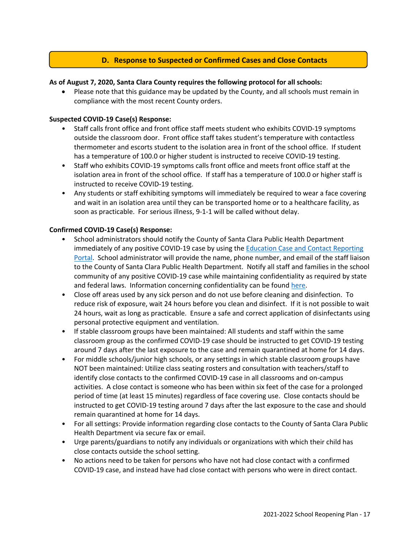# **D. Response to Suspected or Confirmed Cases and Close Contacts**

## **As of August 7, 2020, Santa Clara County requires the following protocol for all schools:**

• Please note that this guidance may be updated by the County, and all schools must remain in compliance with the most recent County orders.

## **Suspected COVID-19 Case(s) Response:**

- Staff calls front office and front office staff meets student who exhibits COVID-19 symptoms outside the classroom door. Front office staff takes student's temperature with contactless thermometer and escorts student to the isolation area in front of the school office. If student has a temperature of 100.0 or higher student is instructed to receive COVID-19 testing.
- Staff who exhibits COVID-19 symptoms calls front office and meets front office staff at the isolation area in front of the school office. If staff has a temperature of 100.0 or higher staff is instructed to receive COVID-19 testing.
- Any students or staff exhibiting symptoms will immediately be required to wear a face covering and wait in an isolation area until they can be transported home or to a healthcare facility, as soon as practicable. For serious illness, 9-1-1 will be called without delay.

## **Confirmed COVID-19 Case(s) Response:**

- School administrators should notify the County of Santa Clara Public Health Department immediately of any positive COVID-19 case by using the Education Case and Contact Reporting Portal. School administrator will provide the name, phone number, and email of the staff liaison to the County of Santa Clara Public Health Department. Notify all staff and families in the school community of any positive COVID-19 case while maintaining confidentiality as required by state and federal laws. Information concerning confidentiality can be found here.
- Close off areas used by any sick person and do not use before cleaning and disinfection. To reduce risk of exposure, wait 24 hours before you clean and disinfect. If it is not possible to wait 24 hours, wait as long as practicable. Ensure a safe and correct application of disinfectants using personal protective equipment and ventilation.
- If stable classroom groups have been maintained: All students and staff within the same classroom group as the confirmed COVID-19 case should be instructed to get COVID-19 testing around 7 days after the last exposure to the case and remain quarantined at home for 14 days.
- For middle schools/junior high schools, or any settings in which stable classroom groups have NOT been maintained: Utilize class seating rosters and consultation with teachers/staff to identify close contacts to the confirmed COVID-19 case in all classrooms and on-campus activities. A close contact is someone who has been within six feet of the case for a prolonged period of time (at least 15 minutes) regardless of face covering use. Close contacts should be instructed to get COVID-19 testing around 7 days after the last exposure to the case and should remain quarantined at home for 14 days.
- For all settings: Provide information regarding close contacts to the County of Santa Clara Public Health Department via secure fax or email.
- Urge parents/guardians to notify any individuals or organizations with which their child has close contacts outside the school setting.
- No actions need to be taken for persons who have not had close contact with a confirmed COVID-19 case, and instead have had close contact with persons who were in direct contact.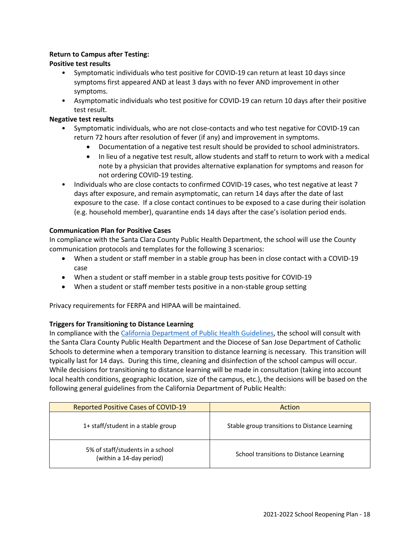# **Return to Campus after Testing:**

# **Positive test results**

- Symptomatic individuals who test positive for COVID-19 can return at least 10 days since symptoms first appeared AND at least 3 days with no fever AND improvement in other symptoms.
- Asymptomatic individuals who test positive for COVID-19 can return 10 days after their positive test result.

# **Negative test results**

- Symptomatic individuals, who are not close-contacts and who test negative for COVID-19 can return 72 hours after resolution of fever (if any) and improvement in symptoms.
	- Documentation of a negative test result should be provided to school administrators.
	- In lieu of a negative test result, allow students and staff to return to work with a medical note by a physician that provides alternative explanation for symptoms and reason for not ordering COVID-19 testing.
- Individuals who are close contacts to confirmed COVID-19 cases, who test negative at least 7 days after exposure, and remain asymptomatic, can return 14 days after the date of last exposure to the case. If a close contact continues to be exposed to a case during their isolation (e.g. household member), quarantine ends 14 days after the case's isolation period ends.

# **Communication Plan for Positive Cases**

In compliance with the Santa Clara County Public Health Department, the school will use the County communication protocols and templates for the following 3 scenarios:

- When a student or staff member in a stable group has been in close contact with a COVID-19 case
- When a student or staff member in a stable group tests positive for COVID-19
- When a student or staff member tests positive in a non-stable group setting

Privacy requirements for FERPA and HIPAA will be maintained.

## **Triggers for Transitioning to Distance Learning**

In compliance with the California Department of Public Health Guidelines, the school will consult with the Santa Clara County Public Health Department and the Diocese of San Jose Department of Catholic Schools to determine when a temporary transition to distance learning is necessary. This transition will typically last for 14 days. During this time, cleaning and disinfection of the school campus will occur. While decisions for transitioning to distance learning will be made in consultation (taking into account local health conditions, geographic location, size of the campus, etc.), the decisions will be based on the following general guidelines from the California Department of Public Health:

| <b>Reported Positive Cases of COVID-19</b>                   | Action                                        |
|--------------------------------------------------------------|-----------------------------------------------|
| 1+ staff/student in a stable group                           | Stable group transitions to Distance Learning |
| 5% of staff/students in a school<br>(within a 14-day period) | School transitions to Distance Learning       |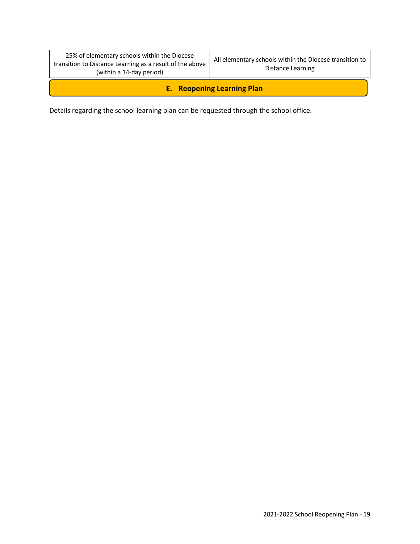| 25% of elementary schools within the Diocese<br>transition to Distance Learning as a result of the above<br>(within a 14-day period) | All elementary schools within the Diocese transition to<br>Distance Learning |  |  |
|--------------------------------------------------------------------------------------------------------------------------------------|------------------------------------------------------------------------------|--|--|
| <b>E.</b> Reopening Learning Plan                                                                                                    |                                                                              |  |  |

Details regarding the school learning plan can be requested through the school office.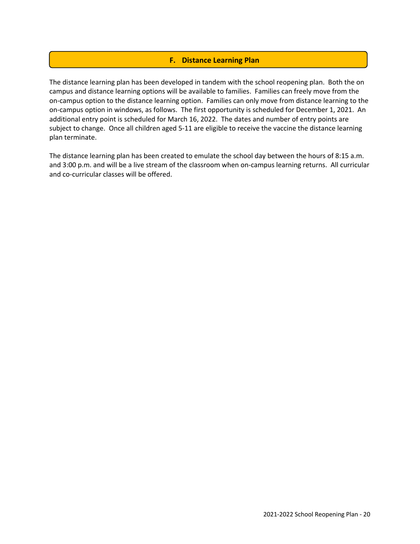# **F. Distance Learning Plan**

The distance learning plan has been developed in tandem with the school reopening plan. Both the on campus and distance learning options will be available to families. Families can freely move from the on-campus option to the distance learning option. Families can only move from distance learning to the on-campus option in windows, as follows. The first opportunity is scheduled for December 1, 2021. An additional entry point is scheduled for March 16, 2022. The dates and number of entry points are subject to change. Once all children aged 5-11 are eligible to receive the vaccine the distance learning plan terminate.

The distance learning plan has been created to emulate the school day between the hours of 8:15 a.m. and 3:00 p.m. and will be a live stream of the classroom when on-campus learning returns. All curricular and co-curricular classes will be offered.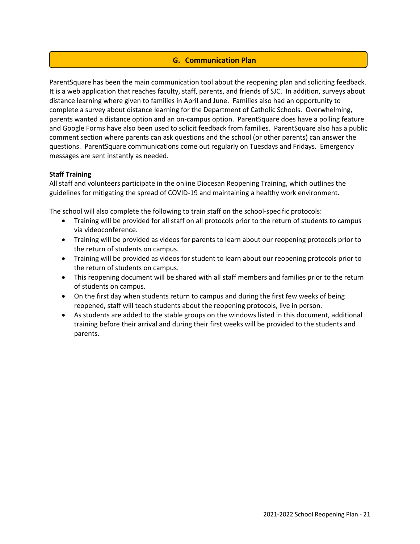# **G. Communication Plan**

ParentSquare has been the main communication tool about the reopening plan and soliciting feedback. It is a web application that reaches faculty, staff, parents, and friends of SJC. In addition, surveys about distance learning where given to families in April and June. Families also had an opportunity to complete a survey about distance learning for the Department of Catholic Schools. Overwhelming, parents wanted a distance option and an on-campus option. ParentSquare does have a polling feature and Google Forms have also been used to solicit feedback from families. ParentSquare also has a public comment section where parents can ask questions and the school (or other parents) can answer the questions. ParentSquare communications come out regularly on Tuesdays and Fridays. Emergency messages are sent instantly as needed.

# **Staff Training**

All staff and volunteers participate in the online Diocesan Reopening Training, which outlines the guidelines for mitigating the spread of COVID-19 and maintaining a healthy work environment.

The school will also complete the following to train staff on the school-specific protocols:

- Training will be provided for all staff on all protocols prior to the return of students to campus via videoconference.
- Training will be provided as videos for parents to learn about our reopening protocols prior to the return of students on campus.
- Training will be provided as videos for student to learn about our reopening protocols prior to the return of students on campus.
- This reopening document will be shared with all staff members and families prior to the return of students on campus.
- On the first day when students return to campus and during the first few weeks of being reopened, staff will teach students about the reopening protocols, live in person.
- As students are added to the stable groups on the windows listed in this document, additional training before their arrival and during their first weeks will be provided to the students and parents.